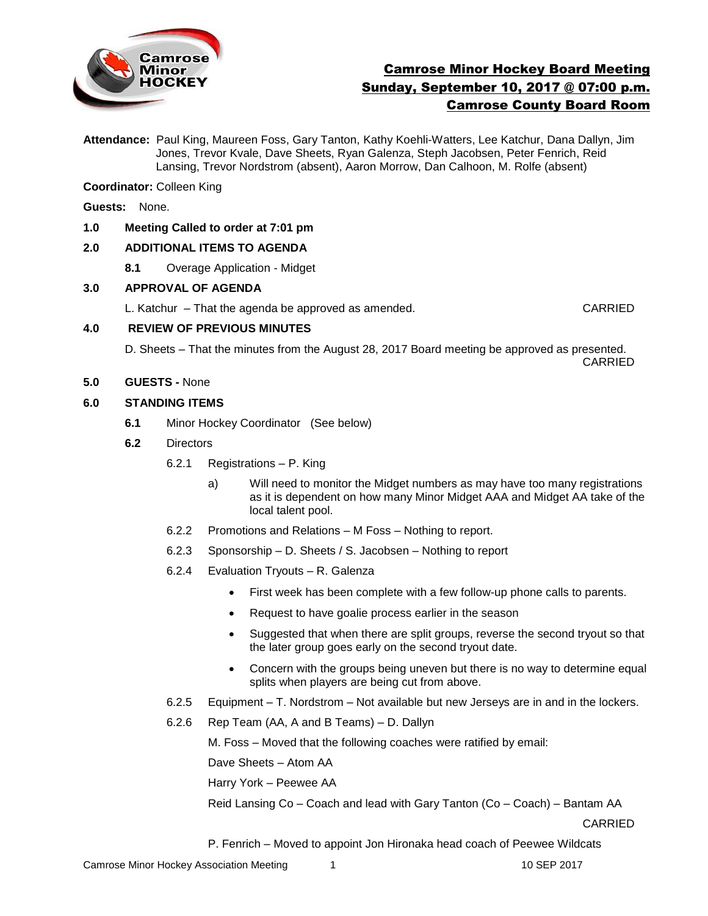

# Camrose Minor Hockey Board Meeting Sunday, September 10, 2017 @ 07:00 p.m. Camrose County Board Room

**Attendance:** Paul King, Maureen Foss, Gary Tanton, Kathy Koehli-Watters, Lee Katchur, Dana Dallyn, Jim Jones, Trevor Kvale, Dave Sheets, Ryan Galenza, Steph Jacobsen, Peter Fenrich, Reid Lansing, Trevor Nordstrom (absent), Aaron Morrow, Dan Calhoon, M. Rolfe (absent)

**Coordinator:** Colleen King

**Guests:** None.

#### **1.0 Meeting Called to order at 7:01 pm**

#### **2.0 ADDITIONAL ITEMS TO AGENDA**

**8.1** Overage Application - Midget

#### **3.0 APPROVAL OF AGENDA**

L. Katchur – That the agenda be approved as amended. CARRIED

#### **4.0 REVIEW OF PREVIOUS MINUTES**

D. Sheets – That the minutes from the August 28, 2017 Board meeting be approved as presented. CARRIED

**5.0 GUESTS -** None

#### **6.0 STANDING ITEMS**

- **6.1** Minor Hockey Coordinator (See below)
- **6.2** Directors
	- 6.2.1 Registrations P. King
		- a)Will need to monitor the Midget numbers as may have too many registrations as it is dependent on how many Minor Midget AAA and Midget AA take of the local talent pool.
	- 6.2.2 Promotions and Relations M Foss Nothing to report.
	- 6.2.3 Sponsorship D. Sheets / S. Jacobsen Nothing to report
	- 6.2.4 Evaluation Tryouts R. Galenza
		- First week has been complete with a few follow-up phone calls to parents.
		- Request to have goalie process earlier in the season
		- Suggested that when there are split groups, reverse the second tryout so that the later group goes early on the second tryout date.
		- Concern with the groups being uneven but there is no way to determine equal splits when players are being cut from above.
	- 6.2.5 Equipment T. Nordstrom Not available but new Jerseys are in and in the lockers.
	- 6.2.6 Rep Team (AA, A and B Teams) D. Dallyn

M. Foss – Moved that the following coaches were ratified by email:

Dave Sheets – Atom AA

Harry York – Peewee AA

Reid Lansing Co – Coach and lead with Gary Tanton (Co – Coach) – Bantam AA

CARRIED

P. Fenrich – Moved to appoint Jon Hironaka head coach of Peewee Wildcats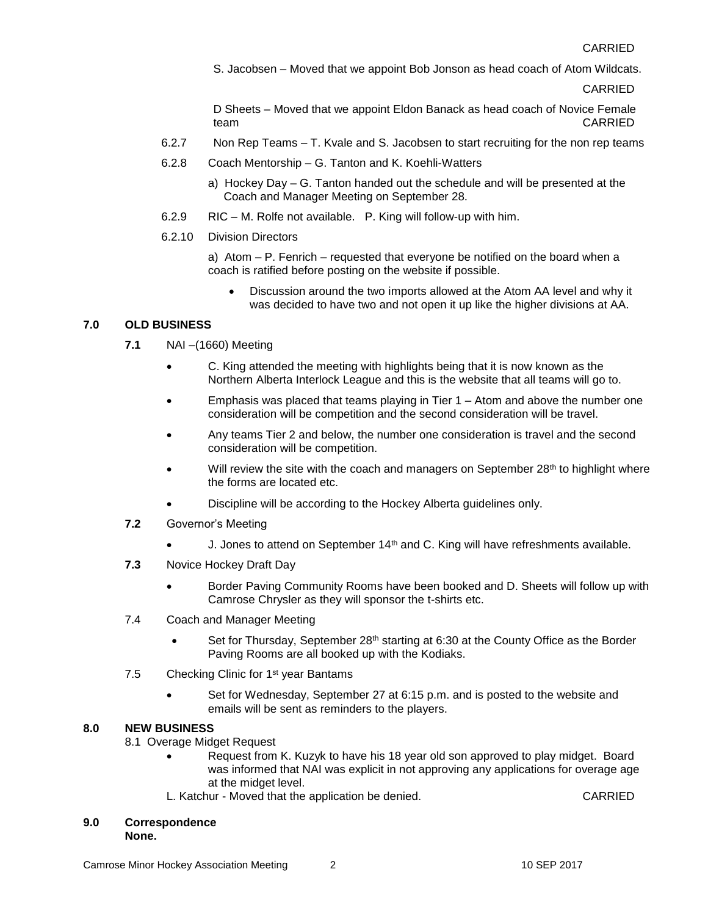S. Jacobsen – Moved that we appoint Bob Jonson as head coach of Atom Wildcats.

CARRIED

D Sheets – Moved that we appoint Eldon Banack as head coach of Novice Female team CARRIED

- 6.2.7 Non Rep Teams T. Kvale and S. Jacobsen to start recruiting for the non rep teams
- 6.2.8 Coach Mentorship G. Tanton and K. Koehli-Watters
	- a) Hockey Day G. Tanton handed out the schedule and will be presented at the Coach and Manager Meeting on September 28.
- 6.2.9 RIC M. Rolfe not available. P. King will follow-up with him.

### 6.2.10 Division Directors

a) Atom – P. Fenrich – requested that everyone be notified on the board when a coach is ratified before posting on the website if possible.

 Discussion around the two imports allowed at the Atom AA level and why it was decided to have two and not open it up like the higher divisions at AA.

# **7.0 OLD BUSINESS**

- **7.1** NAI –(1660) Meeting
	- C. King attended the meeting with highlights being that it is now known as the Northern Alberta Interlock League and this is the website that all teams will go to.
	- Emphasis was placed that teams playing in Tier 1 Atom and above the number one consideration will be competition and the second consideration will be travel.
	- Any teams Tier 2 and below, the number one consideration is travel and the second consideration will be competition.
	- Will review the site with the coach and managers on September 28<sup>th</sup> to highlight where the forms are located etc.
	- Discipline will be according to the Hockey Alberta guidelines only.
- **7.2** Governor's Meeting
	- J. Jones to attend on September 14<sup>th</sup> and C. King will have refreshments available.
- **7.3** Novice Hockey Draft Day
	- Border Paving Community Rooms have been booked and D. Sheets will follow up with Camrose Chrysler as they will sponsor the t-shirts etc.
- 7.4 Coach and Manager Meeting
	- Set for Thursday, September 28<sup>th</sup> starting at 6:30 at the County Office as the Border Paving Rooms are all booked up with the Kodiaks.
- 7.5 Checking Clinic for 1<sup>st</sup> year Bantams
	- Set for Wednesday, September 27 at 6:15 p.m. and is posted to the website and emails will be sent as reminders to the players.

### **8.0 NEW BUSINESS**

- 8.1 Overage Midget Request
	- Request from K. Kuzyk to have his 18 year old son approved to play midget. Board was informed that NAI was explicit in not approving any applications for overage age at the midget level.
	- L. Katchur Moved that the application be denied. CARRIED

### **9.0 Correspondence**

**None.**